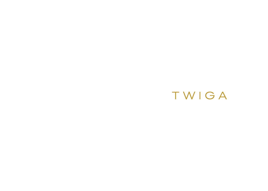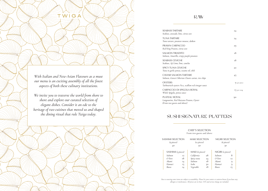*With Italian and New-Asian Flavours as a muse our menu is an exciting assembly of all the finest aspects of both these culinary institutions.*

WIGA

*We invite you to traverse the world from shore to shore and explore our curated selection of elegant dishes. Consider it an ode to the heritage of two cuisines that moved us and shaped the dining ritual that rule Twiga today.*

RAW

SPICY TUNA CEVICHE *Tuna in garlic ponzu, sesame oil, chili*

SALMON TIRADITO *Salmon, Amarillo, crispy purple potatoes*

PLATEAU ROYAL *Langoustine, Red Mazzara Prawns, Oyster (From two guests and above)*

*Red King Prawns, citrus zest*

SEABASS TARTARE

PRAWN CARPACCIO *Tuna tartare, potatoes mousse, daikon* 

*Seabass, avocado, lime, citrus zest* TUNA TARTARE

CARPACCIO DI SPIGOLA ROYAL *Whole Spigola, ponzu sauce*

|           | 24           |
|-----------|--------------|
|           | 24           |
|           | 29           |
|           | $^{\rm I8}$  |
|           | $^{\rm I8}$  |
|           | 20           |
| ice chips | 45           |
| gar sauce | 9 per piece  |
|           | I'3 per 100g |
|           | 90           |

SEABASS CEVICHE *Seabass, Aji Limo, lime, cancha*

CAVIAR SALMON TARTARE *Salmon, Giaveri Siberian Classic caviar, rice chips*

**OYSTERS** *Tarbouriech oysters No.2, scallion red vinegarb* 

# SUSHI SIGNATURE PLATTERS

#### CHEF'S SELECTION From two guests and above

| <b>I SELECTION</b><br>(12 pieces)<br>50 |    | NIGIRI SELECTION<br>(6 pieces)<br>30 |           |  |
|-----------------------------------------|----|--------------------------------------|-----------|--|
| (G pieces)                              |    | NIGIRI (2 pieces)                    |           |  |
| ərnia                                   | 28 | Salmon                               | 8         |  |
| tuna                                    | 24 | $O-Toro$                             | <b>I2</b> |  |
| оn                                      | 18 | Akami                                | 9         |  |
|                                         | 30 | Hamaci                               | 9         |  |
| able                                    | 18 | Ikura                                | 15        |  |

| <b>SASHIMI SELECTION</b> |                | <b>MAKI SE</b> |
|--------------------------|----------------|----------------|
| (9 pieces)               |                | (12)           |
| 40                       |                |                |
|                          |                |                |
| SASHIMI (3 pieces)       |                | MAKI (e        |
| Salmon                   | T <sub>2</sub> | Californi      |
| O-Toro                   | 18             | Spicy tun      |
| Akami                    | 14             | Salmon         |
| Hamaci                   | 15             | Isobe          |
| Ikura                    | 14             | Vegetable      |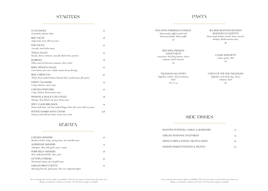

#### CLAMS SPAGHETTI *Clams, garlic, chili* 26

#### SEA BASS BOTTONCINI WITH SEAFOOD GUAZZETTO *Home-made Seabass ravioli, clams, mussels, shrimps, Mediterranean sauce* 36

#### CATCH OF THE DAY TAGLIOLINI *Tagliolini, catch of the day, cherry tomatoes, basil* 30

### SIDE DISHES

| ROASTED POTATOES, GARLIC & ROSEMARY        | TO. |
|--------------------------------------------|-----|
| <b>GRILLED SEASONAL VEGETABLES</b>         | 14  |
| FRENCH FRIES & PONZU TRUFFLE MAYO          | 20  |
| <b>MASHED BAKED POTATOES &amp; TRUFFLE</b> | 20  |

### **STARTERS**

| <b>GUACAMOLE</b><br>Guacamole, platano chips                                                            | 16            | PLIN WITH PARMESAN FONDUE<br>Home-made stuffed ravioli with                        |
|---------------------------------------------------------------------------------------------------------|---------------|------------------------------------------------------------------------------------|
| <b>BEEF TACOS</b><br>Angus beef, sweet chili soy sauce                                                  | 18            | Parmesan fondue, black truffle<br>50                                               |
| <b>FISH TACOS</b><br>Avocado, yuzu kosho mayo                                                           | <sup>16</sup> |                                                                                    |
| <b>TWIGA SALAD</b><br>Rucola, cherry tomatoes, avocado, black olives, prawns                            | 24            | <b>RED KING PRAWNS</b><br><b>GNOCCHETTI</b><br>Gnocchetti, Red King Prawns, cherry |
| <b>BURRATA</b><br>Yellow and red Datterino tomatoes, olives, basil                                      | 18            | tomatoes, basil, Pecorino<br>34                                                    |
| <b>BABY SPINACH SALAD</b><br>Green beans, pine nuts, radish, sesame honey dressing                      | 16            |                                                                                    |
| <b>BEEF CARPACCIO</b><br>Thinly sliced smoked Sakura Hanami beef, wasabi mayo, filo pastry              | 26            | <b>TAGLIOLINI ALL'ASTICE</b><br>Tagliolini, Lobster, cherry tomatoes,<br>basil     |
| <b>CRISPY CALAMARI</b><br>Crispy calamari, spicy mayo                                                   | 23            | $18$ per 100g                                                                      |
| <b>CHICKEN POPCORN</b><br>Crispy chicken, Korean spicy sauce                                            | <sup>16</sup> |                                                                                    |
| PRAWNS & BLACK COD GYOZA<br>Shrimps, Miso Black Cod, spicy Ponzu sauce                                  | 18            |                                                                                    |
| <b>SPICY GALBI RIBS BAOS</b><br>Home-made baos, 24h slow cooked Wagyu short ribs, sweet chili soy sauce | 24            |                                                                                    |
| POTATO SAMBA WITH CAVIAR<br>Potatoes with siberian classic caviar sour cream                            | 128           |                                                                                    |

## **ROBATA**

| <b>CHICKEN SKEWERS</b><br>Boneless chicken wings, spring onion, Aji Amarillo sauce        | 16 |
|-------------------------------------------------------------------------------------------|----|
| <b>AUBERGINE SKEWERS</b><br>Aubergine, Miso chili garlic sauce, sesame                    | 12 |
| <b>PORK BELLY SKEWERS</b><br>Slow cooked pork belly, Miso, yuzu                           | т8 |
| <b>OCTOPUS TERIAKI</b><br>Marinated octopus, pico de gallo sauce                          | 32 |
| <b>GRILLED BROCCOLETTI</b><br>Sprouting broccoli, goma paste, lime zest, togarashi pepper | T6 |